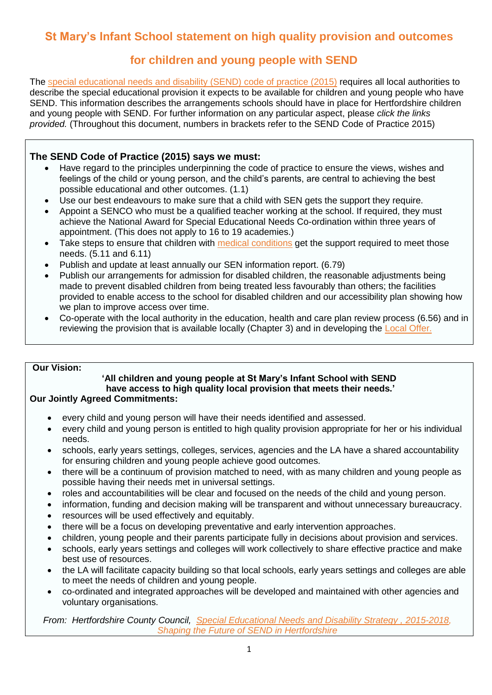# **St Mary's Infant School statement on high quality provision and outcomes**

# **for children and young people with SEND**

The [special educational needs and disability](https://www.gov.uk/government/uploads/system/uploads/attachment_data/file/398815/SEND_Code_of_Practice_January_2015.pdf) (SEND) code of practice (2015) requires all local authorities to describe the special educational provision it expects to be available for children and young people who have SEND. This information describes the arrangements schools should have in place for Hertfordshire children and young people with SEND. For further information on any particular aspect, please *click the links provided.* (Throughout this document, numbers in brackets refer to the SEND Code of Practice 2015)

### **The SEND Code of Practice (2015) says we must:**

- Have regard to the principles underpinning the code of practice to ensure the views, wishes and feelings of the child or young person, and the child's parents, are central to achieving the best possible educational and other outcomes. (1.1)
- Use our best endeavours to make sure that a child with SEN gets the support they require.
- Appoint a SENCO who must be a qualified teacher working at the school. If required, they must achieve the National Award for Special Educational Needs Co-ordination within three years of appointment. (This does not apply to 16 to 19 academies.)
- Take steps to ensure that children with [medical conditions](https://www.gov.uk/government/uploads/system/uploads/attachment_data/file/484418/supporting-pupils-at-school-with-medical-conditions.pdf) get the support required to meet those needs. (5.11 and 6.11)
- Publish and update at least annually our SEN information report. (6.79)
- Publish our arrangements for admission for disabled children, the reasonable adjustments being made to prevent disabled children from being treated less favourably than others; the facilities provided to enable access to the school for disabled children and our accessibility plan showing how we plan to improve access over time.
- Co-operate with the local authority in the education, health and care plan review process (6.56) and in reviewing the provision that is available locally (Chapter 3) and in developing the [Local Offer.](https://directory.hertfordshire.gov.uk/kb5/hertfordshire/directory/localoffer.page)

#### **Our Vision:**

# **'All children and young people at St Mary's Infant School with SEND have access to high quality local provision that meets their needs.'**

## **Our Jointly Agreed Commitments:**

- every child and young person will have their needs identified and assessed.
- every child and young person is entitled to high quality provision appropriate for her or his individual needs.
- schools, early years settings, colleges, services, agencies and the LA have a shared accountability for ensuring children and young people achieve good outcomes.
- there will be a continuum of provision matched to need, with as many children and young people as possible having their needs met in universal settings.
- roles and accountabilities will be clear and focused on the needs of the child and young person.
- information, funding and decision making will be transparent and without unnecessary bureaucracy.
- resources will be used effectively and equitably.
- there will be a focus on developing preventative and early intervention approaches.
- children, young people and their parents participate fully in decisions about provision and services.
- schools, early years settings and colleges will work collectively to share effective practice and make best use of resources.
- the LA will facilitate capacity building so that local schools, early years settings and colleges are able to meet the needs of children and young people.
- co-ordinated and integrated approaches will be developed and maintained with other agencies and voluntary organisations.

*From: Hertfordshire County Council, [Special Educational Needs and Disability Strategy , 2015-2018,](https://directory.hertfordshire.gov.uk/kb5/hertfordshire/directory/service.page?id=x6aX4PKjoQc&familychannel=4) Shaping the Future of SEND in Hertfordshire*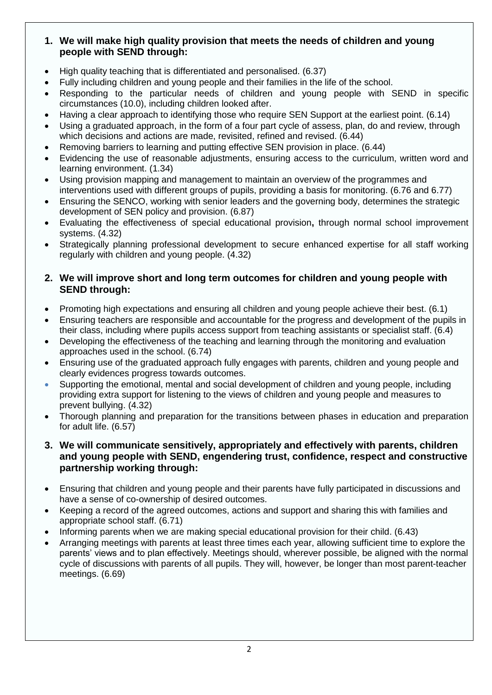## **1. We will make high quality provision that meets the needs of children and young people with SEND through:**

- High quality teaching that is differentiated and personalised. (6.37)
- Fully including children and young people and their families in the life of the school.
- Responding to the particular needs of children and young people with SEND in specific circumstances (10.0), including children looked after.
- Having a clear approach to identifying those who require SEN Support at the earliest point. (6.14)
- Using a graduated approach, in the form of a four part cycle of assess, plan, do and review, through which decisions and actions are made, revisited, refined and revised. (6.44)
- Removing barriers to learning and putting effective SEN provision in place. (6.44)
- Evidencing the use of reasonable adjustments, ensuring access to the curriculum, written word and learning environment. (1.34)
- Using provision mapping and management to maintain an overview of the programmes and interventions used with different groups of pupils, providing a basis for monitoring. (6.76 and 6.77)
- Ensuring the SENCO, working with senior leaders and the governing body, determines the strategic development of SEN policy and provision. (6.87)
- Evaluating the effectiveness of special educational provision**,** through normal school improvement systems. (4.32)
- Strategically planning professional development to secure enhanced expertise for all staff working regularly with children and young people. (4.32)

### **2. We will improve short and long term outcomes for children and young people with SEND through:**

- Promoting high expectations and ensuring all children and young people achieve their best. (6.1)
- Ensuring teachers are responsible and accountable for the progress and development of the pupils in their class, including where pupils access support from teaching assistants or specialist staff. (6.4)
- Developing the effectiveness of the teaching and learning through the monitoring and evaluation approaches used in the school. (6.74)
- Ensuring use of the graduated approach fully engages with parents, children and young people and clearly evidences progress towards outcomes.
- Supporting the emotional, mental and social development of children and young people, including providing extra support for listening to the views of children and young people and measures to prevent bullying. (4.32)
- Thorough planning and preparation for the transitions between phases in education and preparation for adult life. (6.57)
- **3. We will communicate sensitively, appropriately and effectively with parents, children and young people with SEND, engendering trust, confidence, respect and constructive partnership working through:**
- Ensuring that children and young people and their parents have fully participated in discussions and have a sense of co-ownership of desired outcomes.
- Keeping a record of the agreed outcomes, actions and support and sharing this with families and appropriate school staff. (6.71)
- Informing parents when we are making special educational provision for their child. (6.43)
- Arranging meetings with parents at least three times each year, allowing sufficient time to explore the parents' views and to plan effectively. Meetings should, wherever possible, be aligned with the normal cycle of discussions with parents of all pupils. They will, however, be longer than most parent-teacher meetings. (6.69)